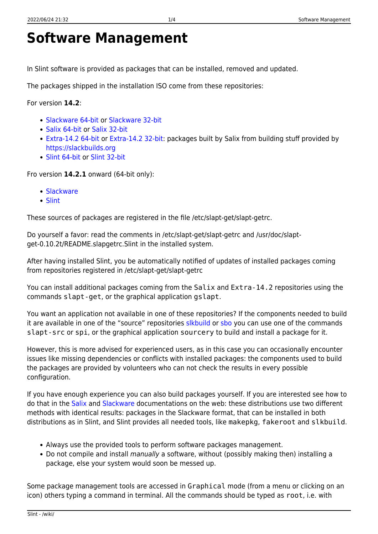## **Software Management**

In Slint software is provided as packages that can be installed, removed and updated.

The packages shipped in the installation ISO come from these repositories:

For version **14.2**:

- [Slackware 64-bit](http://slackware.uk/salix/x86_64/slackware-14.2/) or [Slackware 32-bit](http://slackware.uk/salix/i486/slackware-14.2/)
- [Salix 64-bit](http://slackware.uk/salix/x86_64/14.2/) or [Salix 32-bit](http://slackware.uk/salix/i486/14.2/)
- [Extra-14.2 64-bit](http://slackware.uk/salix/x86_64/extra-14.2/) or [Extra-14.2 32-bit:](http://slackware.uk/salix/i486/extra-14.2/) packages built by Salix from building stuff provided by <https://slackbuilds.org>
- [Slint 64-bit](http://slackware.uk/slint/x86_64/slint-14.2/) or [Slint 32-bit](http://slackware.uk/slint/i586/slint-14.2/)

Fro version **14.2.1** onward (64-bit only):

- [Slackware](http://slackware.uk/salix/x86_64/slackware-14.2/)
- [Slint](http://slackware.uk/slint/x86_64/slint-14.2/)

These sources of packages are registered in the file /etc/slapt-get/slapt-getrc.

Do yourself a favor: read the comments in /etc/slapt-get/slapt-getrc and /usr/doc/slaptget-0.10.2t/README.slapgetrc.Slint in the installed system.

After having installed Slint, you be automatically notified of updates of installed packages coming from repositories registered in /etc/slapt-get/slapt-getrc

You can install additional packages coming from the Salix and Extra-14.2 repositories using the commands slapt-get, or the graphical application gslapt.

You want an application not available in one of these repositories? If the components needed to build it are available in one of the "source" repositories [slkbuild](http://download.salixos.org/slkbuild/14.2) or [sbo](http://download.salixos.org/sbo/14.2) you can use one of the commands slapt-src or spi, or the graphical application sourcery to build and install a package for it.

However, this is more advised for experienced users, as in this case you can occasionally encounter issues like missing dependencies or conflicts with installed packages: the components used to build the packages are provided by volunteers who can not check the results in every possible configuration.

If you have enough experience you can also build packages yourself. If you are interested see how to do that in the [Salix](https://docs.salixos.org/wiki/Documentation) and [Slackware](http://docs.slackware.com/) documentations on the web: these distributions use two different methods with identical results: packages in the Slackware format, that can be installed in both distributions as in Slint, and Slint provides all needed tools, like makepkg, fakeroot and slkbuild.

- Always use the provided tools to perform software packages management.
- Do not compile and install manually a software, without (possibly making then) installing a package, else your system would soon be messed up.

Some package management tools are accessed in Graphical mode (from a menu or clicking on an icon) others typing a command in terminal. All the commands should be typed as root, i.e. with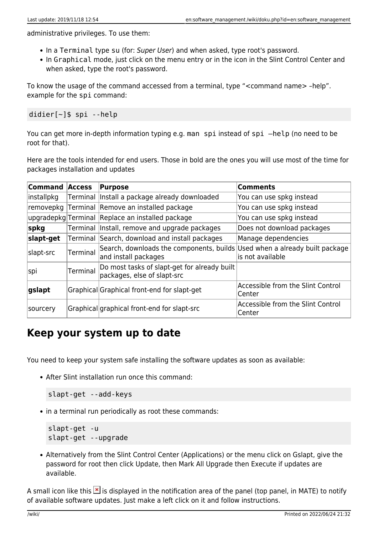administrative privileges. To use them:

- In a Terminal type su (for: Super User) and when asked, type root's password.
- In Graphical mode, just click on the menu entry or in the icon in the Slint Control Center and when asked, type the root's password.

To know the usage of the command accessed from a terminal, type "<command name> –help". example for the spi command:

```
didier[~]$ spi --help
```
You can get more in-depth information typing e.g. man spi instead of spi -help (no need to be root for that).

Here are the tools intended for end users. Those in bold are the ones you will use most of the time for packages installation and updates

| <b>Command</b> | <b>Access</b> | Purpose                                                                     | <b>Comments</b>                                       |
|----------------|---------------|-----------------------------------------------------------------------------|-------------------------------------------------------|
| installpkg     |               | Terminal Install a package already downloaded                               | You can use spkg instead                              |
| removepkg      |               | Terminal Remove an installed package                                        | You can use spkg instead                              |
|                |               | upgradepkg Terminal Replace an installed package                            | You can use spkg instead                              |
| spkg           |               | Terminal  Install, remove and upgrade packages                              | Does not download packages                            |
| slapt-get      | Terminal      | Search, download and install packages                                       | Manage dependencies                                   |
| slapt-src      | Terminal      | Search, downloads the components, builds<br>and install packages            | Used when a already built package<br>is not available |
| spi            | Terminal      | Do most tasks of slapt-get for already built<br>packages, else of slapt-src |                                                       |
| gslapt         |               | Graphical Graphical front-end for slapt-get                                 | Accessible from the Slint Control<br>Center           |
| sourcery       |               | Graphical graphical front-end for slapt-src                                 | Accessible from the Slint Control<br>Center           |

## **Keep your system up to date**

You need to keep your system safe installing the software updates as soon as available:

• After Slint installation run once this command:

```
slapt-get --add-keys
```
• in a terminal run periodically as root these commands:

```
slapt-get -u
slapt-get --upgrade
```
Alternatively from the Slint Control Center (Applications) or the menu click on Gslapt, give the password for root then click Update, then Mark All Upgrade then Execute if updates are available.

A small icon like this  $\geq$  is displayed in the notification area of the panel (top panel, in MATE) to notify of available software updates. Just make a left click on it and follow instructions.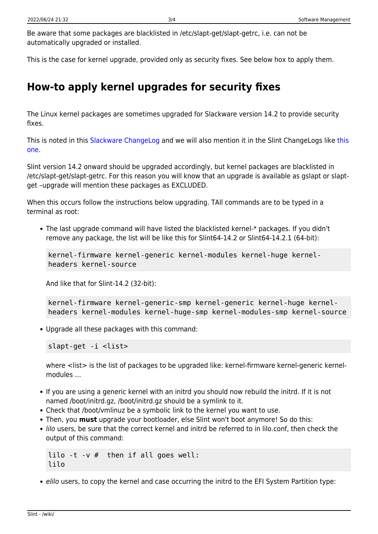Be aware that some packages are blacklisted in /etc/slapt-get/slapt-getrc, i.e. can not be automatically upgraded or installed.

This is the case for kernel upgrade, provided only as security fixes. See below hox to apply them.

## **How-to apply kernel upgrades for security fixes**

The Linux kernel packages are sometimes upgraded for Slackware version 14.2 to provide security fixes.

This is noted in this [Slackware ChangeLog](http://www.slackware.com/changelog/stable.php?cpu=x86_64) and we will also mention it in the Slint ChangeLogs like [this](http://slackware.uk/slint/x86_64/slint-14.2.1/ChangeLog.txt) [one.](http://slackware.uk/slint/x86_64/slint-14.2.1/ChangeLog.txt)

Slint version 14.2 onward should be upgraded accordingly, but kernel packages are blacklisted in /etc/slapt-get/slapt-getrc. For this reason you will know that an upgrade is available as gslapt or slaptget –upgrade will mention these packages as EXCLUDED.

When this occurs follow the instructions below upgrading. TAll commands are to be typed in a terminal as root:

The last upgrade command will have listed the blacklisted kernel-\* packages. If you didn't remove any package, the list will be like this for Slint64-14.2 or Slint64-14.2.1 (64-bit):

```
kernel-firmware kernel-generic kernel-modules kernel-huge kernel-
headers kernel-source
```
And like that for Slint-14.2 (32-bit):

kernel-firmware kernel-generic-smp kernel-generic kernel-huge kernelheaders kernel-modules kernel-huge-smp kernel-modules-smp kernel-source

Upgrade all these packages with this command:

slapt-get -i <list>

where <list> is the list of packages to be upgraded like: kernel-firmware kernel-generic kernelmodules …

- If you are using a generic kernel with an initrd you should now rebuild the initrd. If it is not named /boot/initrd.gz, /boot/initrd.gz should be a symlink to it.
- Check that /boot/vmlinuz be a symbolic link to the kernel you want to use.
- Then, you **must** upgrade your bootloader, else Slint won't boot anymore! So do this:
- lilo users, be sure that the correct kernel and initrd be referred to in lilo.conf, then check the output of this command:

lilo -t -v # then if all goes well: lilo

• elilo users, to copy the kernel and case occurring the initrd to the EFI System Partition type: